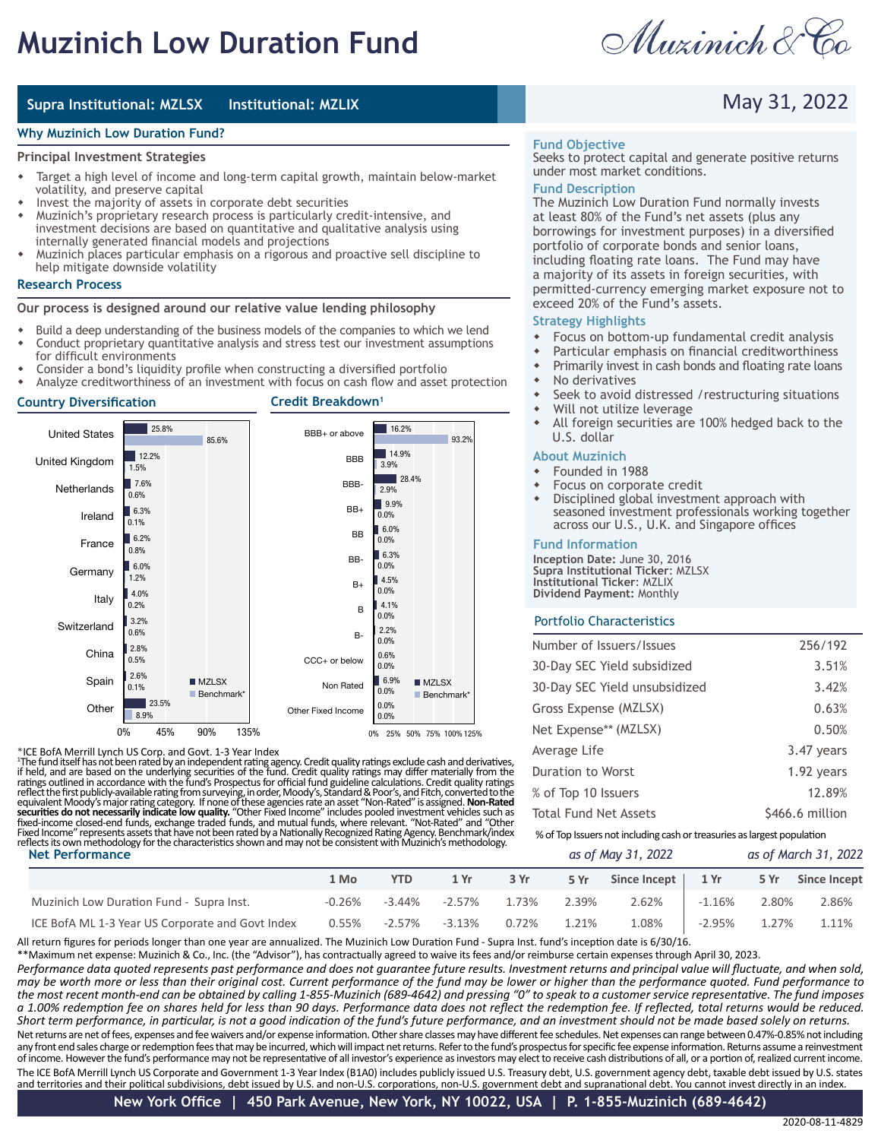# **Muzinich Low Duration Fund**

Muzinich & Co

May 31, 2022

### **Supra Institutional: MZLSX Institutional: MZLIX**

### **Why Muzinich Low Duration Fund?**

### **Principal Investment Strategies**

- Target a high level of income and long-term capital growth, maintain below-market volatility, and preserve capital
- Invest the majority of assets in corporate debt securities
- Muzinich's proprietary research process is particularly credit-intensive, and investment decisions are based on quantitative and qualitative analysis using internally generated financial models and projections
- w Muzinich places particular emphasis on a rigorous and proactive sell discipline to help mitigate downside volatility

### **Research Process**

### **Our process is designed around our relative value lending philosophy**

- Build a deep understanding of the business models of the companies to which we lend Conduct proprietary quantitative analysis and stress test our investment assumptions
- for difficult environments Consider a bond's liquidity profile when constructing a diversified portfolio
- Analyze creditworthiness of an investment with focus on cash flow and asset protection



### \*ICE BofA Merrill Lynch US Corp. and Govt. 1-3 Year Index

<sup>1</sup>The fund itself has not been rated by an independent rating agency. Credit quality ratings exclude cash and derivatives, if held, and are based on the underlying securities of the fund. Credit quality ratings may differ

#### **Fund Objective**

Seeks to protect capital and generate positive returns under most market conditions.

### **Fund Description**

The Muzinich Low Duration Fund normally invests at least 80% of the Fund's net assets (plus any borrowings for investment purposes) in a diversified portfolio of corporate bonds and senior loans, including floating rate loans. The Fund may have a majority of its assets in foreign securities, with permitted-currency emerging market exposure not to exceed 20% of the Fund's assets.

### **Strategy Highlights**

- $\bullet$  Focus on bottom-up fundamental credit analysis
- Particular emphasis on financial creditworthiness
- Primarily invest in cash bonds and floating rate loans
- $\bullet$  No derivatives
- Seek to avoid distressed /restructuring situations
- Will not utilize leverage
- \* All foreign securities are 100% hedged back to the U.S. dollar

### **About Muzinich**

- Founded in 1988
- Focus on corporate credit
- Disciplined global investment approach with seasoned investment professionals working together across our U.S., U.K. and Singapore offices

### **Fund Information**

**Inception Date:** June 30, 2016 **Supra Institutional Ticker**: MZLSX **Institutional Ticker**: MZLIX **Dividend Payment:** Monthly

### Portfolio Characteristics

| Number of Issuers/Issues                                                | 256/192         |  |  |  |  |
|-------------------------------------------------------------------------|-----------------|--|--|--|--|
| 30-Day SEC Yield subsidized                                             | 3.51%           |  |  |  |  |
| 30-Day SEC Yield unsubsidized                                           | 3.42%           |  |  |  |  |
| Gross Expense (MZLSX)                                                   | 0.63%           |  |  |  |  |
| Net Expense** (MZLSX)                                                   | 0.50%           |  |  |  |  |
| Average Life                                                            | 3.47 years      |  |  |  |  |
| Duration to Worst                                                       | 1.92 years      |  |  |  |  |
| % of Top 10 Issuers                                                     | 12.89%          |  |  |  |  |
| <b>Total Fund Net Assets</b>                                            | \$466.6 million |  |  |  |  |
| % of Top Issuers not including cash or treasuries as largest population |                 |  |  |  |  |

| <b>Net Performance</b>                           |           |            |           | as of May 31, 2022 |       |                      | as of March 31, 2022 |       |                   |
|--------------------------------------------------|-----------|------------|-----------|--------------------|-------|----------------------|----------------------|-------|-------------------|
|                                                  | 1 Mo      | <b>YTD</b> | 1Yr       | 3 Yr               | 5 Yr  | Since Incept $\vert$ | 1 Yr                 |       | 5 Yr Since Incept |
| Muzinich Low Duration Fund - Supra Inst.         | $-0.26\%$ | $-3.44\%$  | $-2.57\%$ | 1.73%              | 2.39% | 2.62%                | -1.16%               | 2.80% | 2.86%             |
| ICE BofA ML 1-3 Year US Corporate and Govt Index | $0.55\%$  | -2.57%     | -3.13%    | 0.72%              | 1.21% | 1.08%                | $-2.95%$             | 1.27% | 1.11%             |

All return figures for periods longer than one year are annualized. The Muzinich Low Duration Fund - Supra Inst. fund's inception date is 6/30/16.

\*\*Maximum net expense: Muzinich & Co., Inc. (the "Advisor"), has contractually agreed to waive its fees and/or reimburse certain expenses through April 30, 2023.

The ICE BofA Merrill Lynch US Corporate and Government 1-3 Year Index (B1A0) includes publicly issued U.S. Treasury debt, U.S. government agency debt, taxable debt issued by U.S. states Net returns are net of fees, expenses and fee waivers and/or expense information. Other share classes may have different fee schedules. Net expenses can range between 0.47%-0.85% not including any front end sales charge or redemption fees that may be incurred, which will impact net returns. Refer to the fund's prospectus for specific fee expense information. Returns assume a reinvestment of income. However the fund's performance may not be representative of all investor's experience as investors may elect to receive cash distributions of all, or a portion of, realized current income. *Performance data quoted represents past performance and does not guarantee future results. Investment returns and principal value will fluctuate, and when sold, may be worth more or less than their original cost. Current performance of the fund may be lower or higher than the performance quoted. Fund performance to the most recent month-end can be obtained by calling 1-855-Muzinich (689-4642) and pressing "0" to speak to a customer service representative. The fund imposes a 1.00% redemption fee on shares held for less than 90 days. Performance data does not reflect the redemption fee. If reflected, total returns would be reduced. Short term performance, in particular, is not a good indication of the fund's future performance, and an investment should not be made based solely on returns.*

and territories and their political subdivisions, debt issued by U.S. and non-U.S. corporations, non-U.S. government debt and supranational debt. You cannot invest directly in an index.

*as of March 31, 2022*